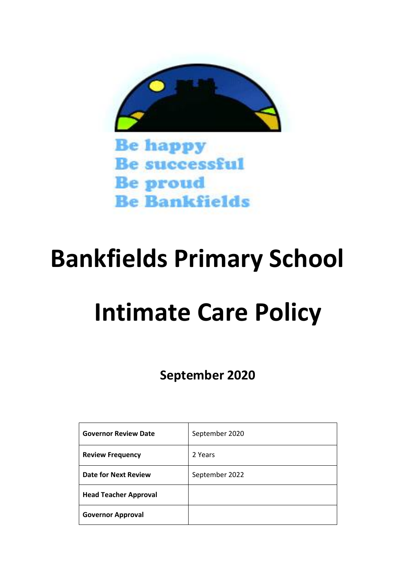

**Be happy Be successful Be proud Be Bankfields** 

# **Bankfields Primary School**

# **Intimate Care Policy**

**September 2020**

| <b>Governor Review Date</b>  | September 2020 |
|------------------------------|----------------|
| <b>Review Frequency</b>      | 2 Years        |
| Date for Next Review         | September 2022 |
| <b>Head Teacher Approval</b> |                |
| <b>Governor Approval</b>     |                |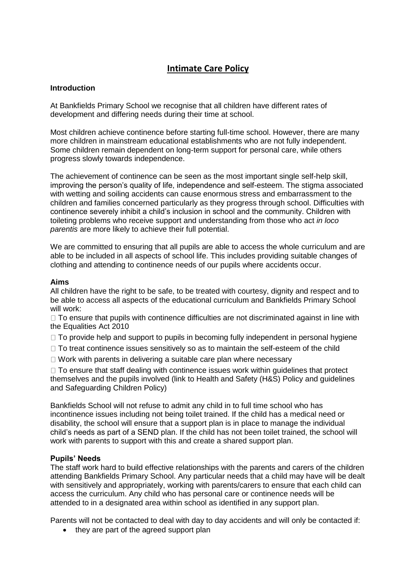## **Intimate Care Policy**

## **Introduction**

At Bankfields Primary School we recognise that all children have different rates of development and differing needs during their time at school.

Most children achieve continence before starting full-time school. However, there are many more children in mainstream educational establishments who are not fully independent. Some children remain dependent on long-term support for personal care, while others progress slowly towards independence.

The achievement of continence can be seen as the most important single self-help skill, improving the person's quality of life, independence and self-esteem. The stigma associated with wetting and soiling accidents can cause enormous stress and embarrassment to the children and families concerned particularly as they progress through school. Difficulties with continence severely inhibit a child's inclusion in school and the community. Children with toileting problems who receive support and understanding from those who act *in loco parentis* are more likely to achieve their full potential.

We are committed to ensuring that all pupils are able to access the whole curriculum and are able to be included in all aspects of school life. This includes providing suitable changes of clothing and attending to continence needs of our pupils where accidents occur.

## **Aims**

All children have the right to be safe, to be treated with courtesy, dignity and respect and to be able to access all aspects of the educational curriculum and Bankfields Primary School will work:

 $\Box$  To ensure that pupils with continence difficulties are not discriminated against in line with the Equalities Act 2010

 $\Box$  To provide help and support to pupils in becoming fully independent in personal hygiene

- $\Box$  To treat continence issues sensitively so as to maintain the self-esteem of the child
- $\Box$  Work with parents in delivering a suitable care plan where necessary

 $\Box$  To ensure that staff dealing with continence issues work within guidelines that protect themselves and the pupils involved (link to Health and Safety (H&S) Policy and guidelines and Safeguarding Children Policy)

Bankfields School will not refuse to admit any child in to full time school who has incontinence issues including not being toilet trained. If the child has a medical need or disability, the school will ensure that a support plan is in place to manage the individual child's needs as part of a SEND plan. If the child has not been toilet trained, the school will work with parents to support with this and create a shared support plan.

## **Pupils' Needs**

The staff work hard to build effective relationships with the parents and carers of the children attending Bankfields Primary School. Any particular needs that a child may have will be dealt with sensitively and appropriately, working with parents/carers to ensure that each child can access the curriculum. Any child who has personal care or continence needs will be attended to in a designated area within school as identified in any support plan.

Parents will not be contacted to deal with day to day accidents and will only be contacted if:

• they are part of the agreed support plan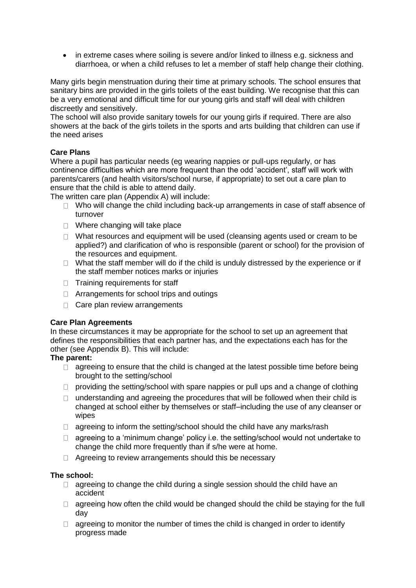• in extreme cases where soiling is severe and/or linked to illness e.g. sickness and diarrhoea, or when a child refuses to let a member of staff help change their clothing.

Many girls begin menstruation during their time at primary schools. The school ensures that sanitary bins are provided in the girls toilets of the east building. We recognise that this can be a very emotional and difficult time for our young girls and staff will deal with children discreetly and sensitively.

The school will also provide sanitary towels for our young girls if required. There are also showers at the back of the girls toilets in the sports and arts building that children can use if the need arises

## **Care Plans**

Where a pupil has particular needs (eg wearing nappies or pull-ups regularly, or has continence difficulties which are more frequent than the odd 'accident', staff will work with parents/carers (and health visitors/school nurse, if appropriate) to set out a care plan to ensure that the child is able to attend daily.

The written care plan (Appendix A) will include:

- $\Box$  Who will change the child including back-up arrangements in case of staff absence of turnover
- $\Box$  Where changing will take place
- $\Box$  What resources and equipment will be used (cleansing agents used or cream to be applied?) and clarification of who is responsible (parent or school) for the provision of the resources and equipment.
- $\Box$  What the staff member will do if the child is unduly distressed by the experience or if the staff member notices marks or injuries
- $\Box$  Training requirements for staff
- □ Arrangements for school trips and outings
- $\Box$  Care plan review arrangements

## **Care Plan Agreements**

In these circumstances it may be appropriate for the school to set up an agreement that defines the responsibilities that each partner has, and the expectations each has for the other (see Appendix B). This will include:

## **The parent:**

- $\Box$  agreeing to ensure that the child is changed at the latest possible time before being brought to the setting/school
- $\Box$  providing the setting/school with spare nappies or pull ups and a change of clothing
- $\Box$  understanding and agreeing the procedures that will be followed when their child is changed at school either by themselves or staff–including the use of any cleanser or wipes
- $\Box$  agreeing to inform the setting/school should the child have any marks/rash
- $\Box$  agreeing to a 'minimum change' policy i.e. the setting/school would not undertake to change the child more frequently than if s/he were at home.
- $\Box$  Agreeing to review arrangements should this be necessary

## **The school:**

- $\Box$  agreeing to change the child during a single session should the child have an accident
- $\Box$  agreeing how often the child would be changed should the child be staying for the full day
- $\Box$  agreeing to monitor the number of times the child is changed in order to identify progress made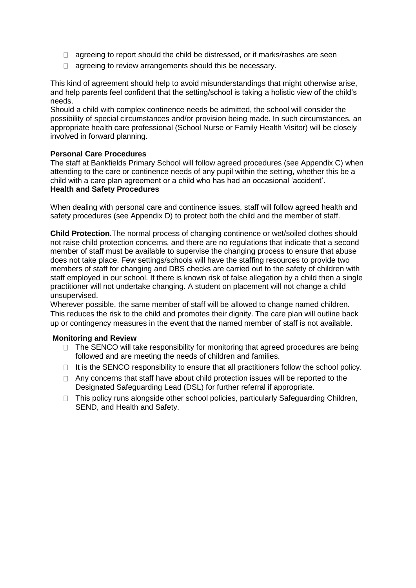- $\Box$  agreeing to report should the child be distressed, or if marks/rashes are seen
- $\Box$  agreeing to review arrangements should this be necessary.

This kind of agreement should help to avoid misunderstandings that might otherwise arise, and help parents feel confident that the setting/school is taking a holistic view of the child's needs.

Should a child with complex continence needs be admitted, the school will consider the possibility of special circumstances and/or provision being made. In such circumstances, an appropriate health care professional (School Nurse or Family Health Visitor) will be closely involved in forward planning.

## **Personal Care Procedures**

The staff at Bankfields Primary School will follow agreed procedures (see Appendix C) when attending to the care or continence needs of any pupil within the setting, whether this be a child with a care plan agreement or a child who has had an occasional 'accident'. **Health and Safety Procedures** 

When dealing with personal care and continence issues, staff will follow agreed health and safety procedures (see Appendix D) to protect both the child and the member of staff.

**Child Protection**.The normal process of changing continence or wet/soiled clothes should not raise child protection concerns, and there are no regulations that indicate that a second member of staff must be available to supervise the changing process to ensure that abuse does not take place. Few settings/schools will have the staffing resources to provide two members of staff for changing and DBS checks are carried out to the safety of children with staff employed in our school. If there is known risk of false allegation by a child then a single practitioner will not undertake changing. A student on placement will not change a child unsupervised.

Wherever possible, the same member of staff will be allowed to change named children. This reduces the risk to the child and promotes their dignity. The care plan will outline back up or contingency measures in the event that the named member of staff is not available.

## **Monitoring and Review**

- $\Box$  The SENCO will take responsibility for monitoring that agreed procedures are being followed and are meeting the needs of children and families.
- $\Box$  It is the SENCO responsibility to ensure that all practitioners follow the school policy.
- $\Box$  Any concerns that staff have about child protection issues will be reported to the Designated Safeguarding Lead (DSL) for further referral if appropriate.
- $\Box$  This policy runs alongside other school policies, particularly Safeguarding Children, SEND, and Health and Safety.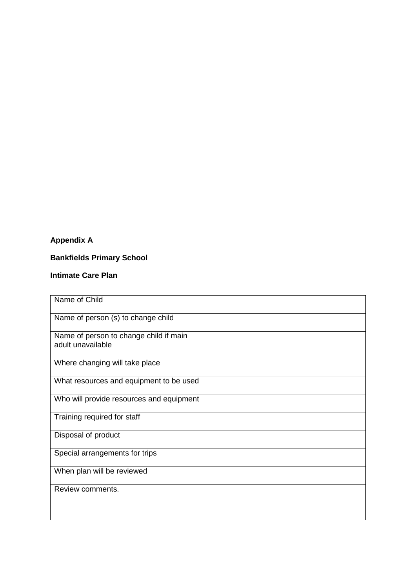## **Appendix A**

# **Bankfields Primary School**

## **Intimate Care Plan**

| Name of Child                                               |  |
|-------------------------------------------------------------|--|
| Name of person (s) to change child                          |  |
| Name of person to change child if main<br>adult unavailable |  |
| Where changing will take place                              |  |
| What resources and equipment to be used                     |  |
| Who will provide resources and equipment                    |  |
| Training required for staff                                 |  |
| Disposal of product                                         |  |
| Special arrangements for trips                              |  |
| When plan will be reviewed                                  |  |
| Review comments.                                            |  |
|                                                             |  |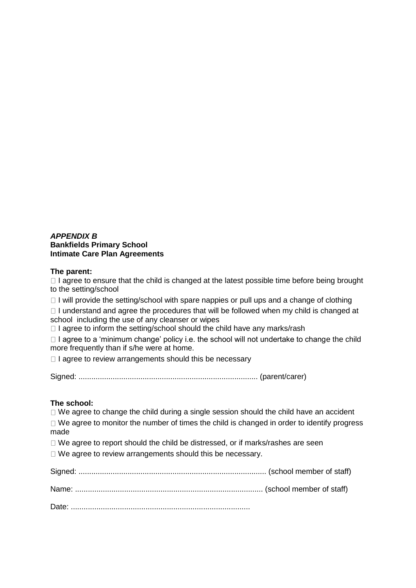## *APPENDIX B*  **Bankfields Primary School Intimate Care Plan Agreements**

## **The parent:**

 $\Box$  I agree to ensure that the child is changed at the latest possible time before being brought to the setting/school

 $\Box$  I will provide the setting/school with spare nappies or pull ups and a change of clothing

 $\Box$  I understand and agree the procedures that will be followed when my child is changed at school including the use of any cleanser or wipes

 $\Box$  I agree to inform the setting/school should the child have any marks/rash

 $\Box$  I agree to a 'minimum change' policy i.e. the school will not undertake to change the child more frequently than if s/he were at home.

 $\Box$  I agree to review arrangements should this be necessary

Signed: .................................................................................... (parent/carer)

## **The school:**

 $\Box$  We agree to change the child during a single session should the child have an accident

 $\Box$  We agree to monitor the number of times the child is changed in order to identify progress made

□ We agree to report should the child be distressed, or if marks/rashes are seen

□ We agree to review arrangements should this be necessary.

|--|--|

Name: ........................................................................................ (school member of staff)

Date: ....................................................................................